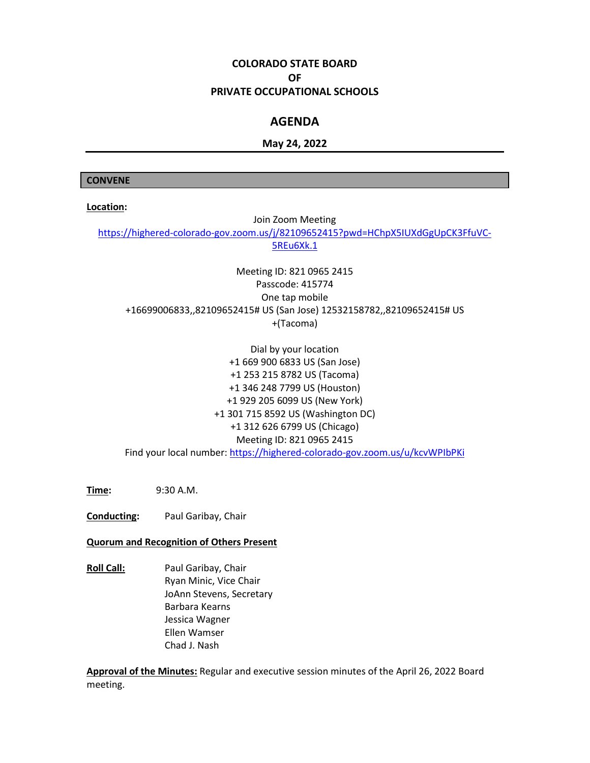# **COLORADO STATE BOARD OF PRIVATE OCCUPATIONAL SCHOOLS**

## **AGENDA**

## **May 24, 2022**

#### **CONVENE**

**Location:**

Join Zoom Meeting [https://highered-colorado-gov.zoom.us/j/82109652415?pwd=HChpX5IUXdGgUpCK3FfuVC-](https://highered-colorado-gov.zoom.us/j/82109652415?pwd=HChpX5IUXdGgUpCK3FfuVC-5REu6Xk.1)[5REu6Xk.1](https://highered-colorado-gov.zoom.us/j/82109652415?pwd=HChpX5IUXdGgUpCK3FfuVC-5REu6Xk.1)

Meeting ID: 821 0965 2415 Passcode: 415774 One tap mobile +16699006833,,82109652415# US (San Jose) 12532158782,,82109652415# US +(Tacoma)

Dial by your location +1 669 900 6833 US (San Jose) +1 253 215 8782 US (Tacoma) +1 346 248 7799 US (Houston) +1 929 205 6099 US (New York) +1 301 715 8592 US (Washington DC) +1 312 626 6799 US (Chicago) Meeting ID: 821 0965 2415 Find your local number:<https://highered-colorado-gov.zoom.us/u/kcvWPIbPKi>

**Time:** 9:30 A.M.

**Conducting:** Paul Garibay, Chair

#### **Quorum and Recognition of Others Present**

**Roll Call:** Paul Garibay, Chair Ryan Minic, Vice Chair JoAnn Stevens, Secretary Barbara Kearns Jessica Wagner Ellen Wamser Chad J. Nash

**Approval of the Minutes:** Regular and executive session minutes of the April 26, 2022 Board meeting.